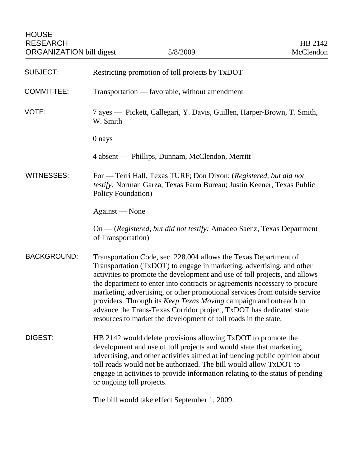| <b>SUBJECT:</b>    | Restricting promotion of toll projects by TxDOT                                                                                                                                                                                                                                                                                                                                                                                                                                                                                                                                                   |
|--------------------|---------------------------------------------------------------------------------------------------------------------------------------------------------------------------------------------------------------------------------------------------------------------------------------------------------------------------------------------------------------------------------------------------------------------------------------------------------------------------------------------------------------------------------------------------------------------------------------------------|
| <b>COMMITTEE:</b>  | Transportation — favorable, without amendment                                                                                                                                                                                                                                                                                                                                                                                                                                                                                                                                                     |
| VOTE:              | 7 ayes — Pickett, Callegari, Y. Davis, Guillen, Harper-Brown, T. Smith,<br>W. Smith                                                                                                                                                                                                                                                                                                                                                                                                                                                                                                               |
|                    | 0 nays                                                                                                                                                                                                                                                                                                                                                                                                                                                                                                                                                                                            |
|                    | 4 absent — Phillips, Dunnam, McClendon, Merritt                                                                                                                                                                                                                                                                                                                                                                                                                                                                                                                                                   |
| <b>WITNESSES:</b>  | For — Terri Hall, Texas TURF; Don Dixon; (Registered, but did not<br>testify: Norman Garza, Texas Farm Bureau; Justin Keener, Texas Public<br><b>Policy Foundation</b> )                                                                                                                                                                                                                                                                                                                                                                                                                          |
|                    | Against — None                                                                                                                                                                                                                                                                                                                                                                                                                                                                                                                                                                                    |
|                    | On — (Registered, but did not testify: Amadeo Saenz, Texas Department<br>of Transportation)                                                                                                                                                                                                                                                                                                                                                                                                                                                                                                       |
| <b>BACKGROUND:</b> | Transportation Code, sec. 228.004 allows the Texas Department of<br>Transportation (TxDOT) to engage in marketing, advertising, and other<br>activities to promote the development and use of toll projects, and allows<br>the department to enter into contracts or agreements necessary to procure<br>marketing, advertising, or other promotional services from outside service<br>providers. Through its Keep Texas Moving campaign and outreach to<br>advance the Trans-Texas Corridor project, TxDOT has dedicated state<br>resources to market the development of toll roads in the state. |
| DIGEST:            | HB 2142 would delete provisions allowing TxDOT to promote the<br>development and use of toll projects and would state that marketing,<br>advertising, and other activities aimed at influencing public opinion about<br>toll roads would not be authorized. The bill would allow TxDOT to<br>engage in activities to provide information relating to the status of pending<br>or ongoing toll projects.                                                                                                                                                                                           |
|                    | The bill would take effect September 1, 2009.                                                                                                                                                                                                                                                                                                                                                                                                                                                                                                                                                     |